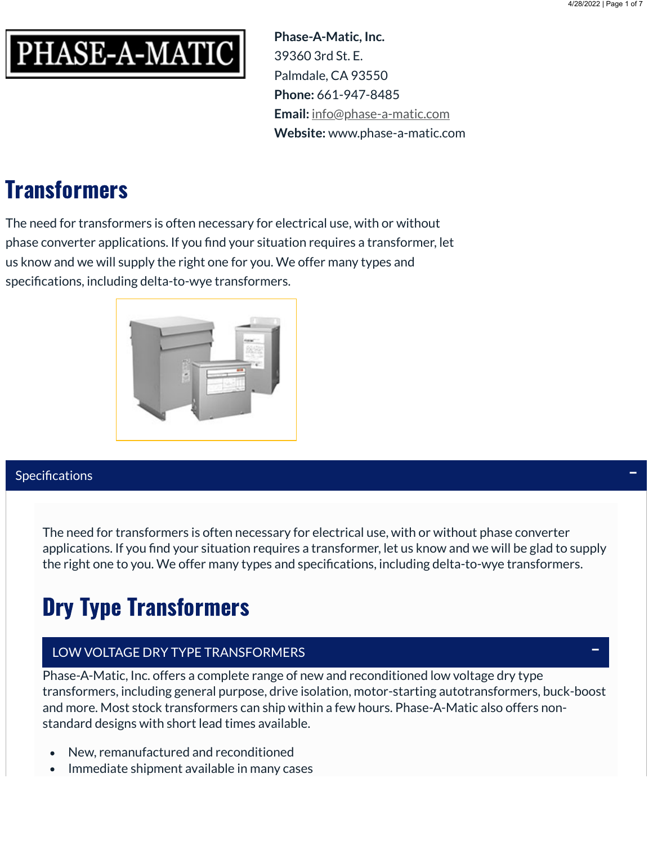

**Phase-A-Matic, Inc.** 39360 3rd St. E. Palmdale, CA 93550 **Phone:** 661-947-8485 **Email:** [info@phase-a-matic.com](mailto:info@phase-a-matic.com) **Website:** www.phase-a-matic.com

# **Transformers**

The need for transformers is often necessary for electrical use, with or without phase converter applications. If you find your situation requires a transformer, let us know and we will supply the right one for you. We offer many types and specifications, including delta-to-wye transformers.



### Specifications

The need for transformers is often necessary for electrical use, with or without phase converter applications. If you find your situation requires a transformer, let us know and we will be glad to supply the right one to you. We offer many types and specifications, including delta-to-wye transformers.

# Dry Type Transformers

## LOW VOLTAGE DRY TYPE TRANSFORMERS

Phase-A-Matic, Inc. offers a complete range of new and reconditioned low voltage dry type transformers, including general purpose, drive isolation, motor-starting autotransformers, buck-boost and more. Most stock transformers can ship within a few hours. Phase-A-Matic also offers nonstandard designs with short lead times available.

- New, remanufactured and reconditioned
- Immediate shipment available in many cases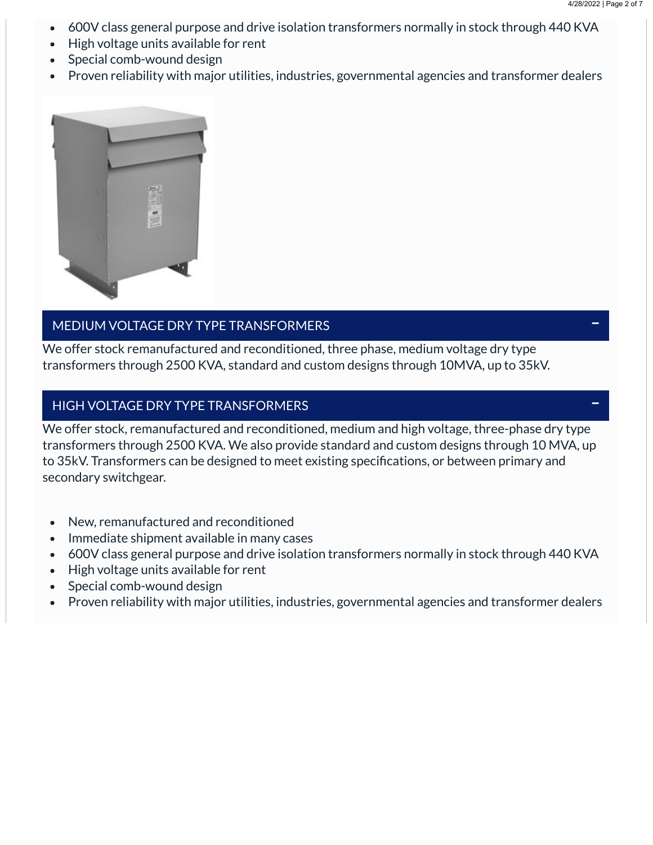- 600V class general purpose and drive isolation transformers normally in stock through 440 KVA  $\bullet$
- High voltage units available for rent  $\bullet$
- Special comb-wound design  $\bullet$
- Proven reliability with major utilities, industries, governmental agencies and transformer dealers  $\bullet$



#### MEDIUM VOLTAGE DRY TYPE TRANSFORMERS

We offer stock remanufactured and reconditioned, three phase, medium voltage dry type transformers through 2500 KVA, standard and custom designs through 10MVA, up to 35kV.

#### HIGH VOLTAGE DRY TYPE TRANSFORMERS

We offer stock, remanufactured and reconditioned, medium and high voltage, three-phase dry type transformers through 2500 KVA. We also provide standard and custom designs through 10 MVA, up to 35kV. Transformers can be designed to meet existing specifications, or between primary and secondary switchgear.

- New, remanufactured and reconditioned  $\bullet$
- Immediate shipment available in many cases  $\bullet$
- 600V class general purpose and drive isolation transformers normally in stock through 440 KVA  $\bullet$
- High voltage units available for rent
- Special comb-wound design  $\bullet$
- Proven reliability with major utilities, industries, governmental agencies and transformer dealers  $\bullet$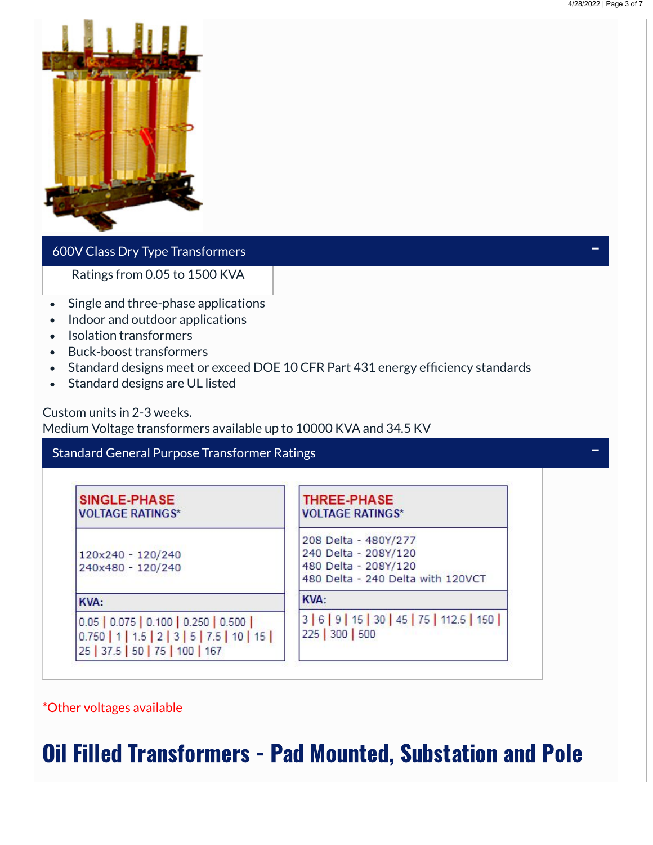

### 600V Class Dry Type Transformers

Ratings from 0.05 to 1500 KVA

- Single and three-phase applications  $\bullet$
- Indoor and outdoor applications  $\bullet$
- Isolation transformers  $\bullet$
- Buck-boost transformers  $\bullet$
- Standard designs meet or exceed DOE 10 CFR Part 431 energy efficiency standards  $\bullet$
- Standard designs are UL listed  $\bullet$

Custom units in 2-3 weeks.

Medium Voltage transformers available up to 10000 KVA and 34.5 KV

| SINGLE-PHASE<br><b>VOLTAGE RATINGS*</b>                                                                              | THREE-PHASE<br><b>VOLTAGE RATINGS*</b>                                                                    |
|----------------------------------------------------------------------------------------------------------------------|-----------------------------------------------------------------------------------------------------------|
| 120x240 - 120/240<br>240x480 - 120/240                                                                               | 208 Delta - 480Y/277<br>240 Delta - 208Y/120<br>480 Delta - 208Y/120<br>480 Delta - 240 Delta with 120VCT |
| <b>KVA:</b>                                                                                                          | <b>KVA:</b>                                                                                               |
| $0.05$ 0.075 0.100 0.250 0.500<br>$0.750$   1   1.5   2   3   5   7.5   10   15  <br>25   37.5   50   75   100   167 | 3 6 9 15 30 45 75 112.5 150<br>225 300 500                                                                |

\*Other voltages available

## Oil Filled Transformers - Pad Mounted, Substation and Pole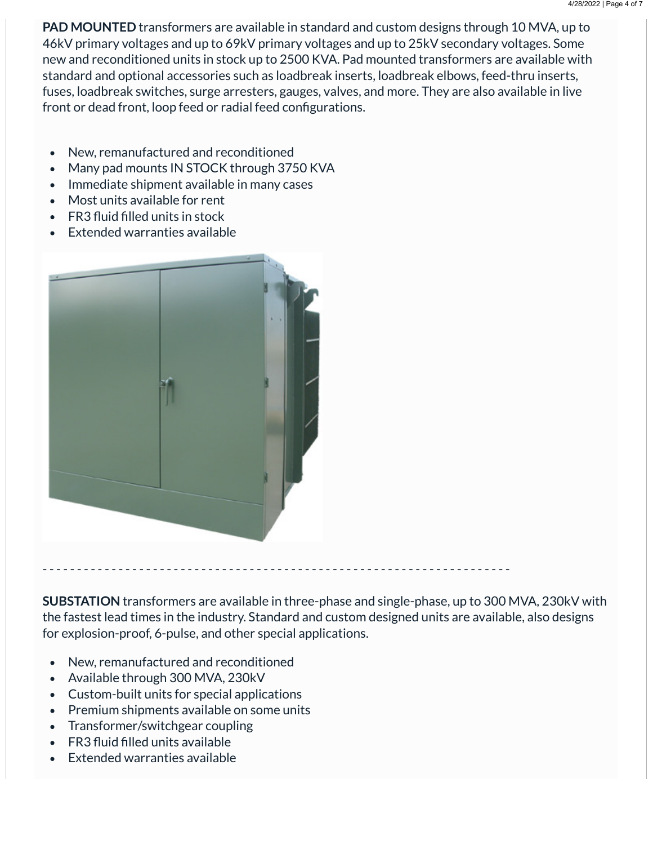**PAD MOUNTED** transformers are available in standard and custom designs through 10 MVA, up to 46kV primary voltages and up to 69kV primary voltages and up to 25kV secondary voltages. Some new and reconditioned units in stock up to 2500 KVA. Pad mounted transformers are available with standard and optional accessories such as loadbreak inserts, loadbreak elbows, feed-thru inserts, fuses, loadbreak switches, surge arresters, gauges, valves, and more. They are also available in live front or dead front, loop feed or radial feed configurations.

- New, remanufactured and reconditioned  $\bullet$
- Many pad mounts IN STOCK through 3750 KVA
- Immediate shipment available in many cases
- Most units available for rent  $\bullet$
- FR3 fluid filled units in stock
- Extended warranties available



**SUBSTATION** transformers are available in three-phase and single-phase, up to 300 MVA, 230kV with the fastest lead times in the industry. Standard and custom designed units are available, also designs for explosion-proof, 6-pulse, and other special applications.

- New, remanufactured and reconditioned  $\bullet$
- Available through 300 MVA, 230kV
- Custom-built units for special applications
- Premium shipments available on some units
- Transformer/switchgear coupling
- $\cdot$  FR3 fluid filled units available
- Extended warranties available  $\bullet$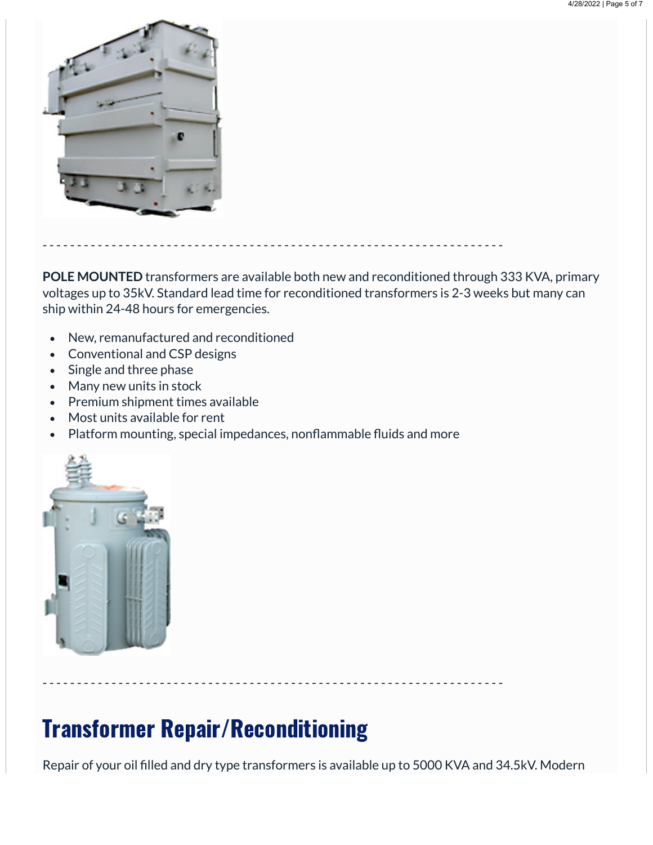

**POLE MOUNTED** transformers are available both new and reconditioned through 333 KVA, primary voltages up to 35kV. Standard lead time for reconditioned transformers is 2-3 weeks but many can ship within 24-48 hours for emergencies.

- New, remanufactured and reconditioned  $\bullet$
- Conventional and CSP designs
- Single and three phase
- Many new units in stock
- Premium shipment times available
- Most units available for rent
- Platform mounting, special impedances, nonflammable fluids and more

- - - - - - - - - - - - - - - - - - - - - - - - - - - - - - - - - - - - - - - - - - - - - - - - - - - - - - - - - - - - - - - - - - -



- - - - - - - - - - - - - - - - - - - - - - - - - - - - - - - - - - - - - - - - - - - - - - - - - - - - - - - - - - - - - - - - - - -

## Transformer Repair/Reconditioning

Repair of your oil filled and dry type transformers is available up to 5000 KVA and 34.5kV. Modern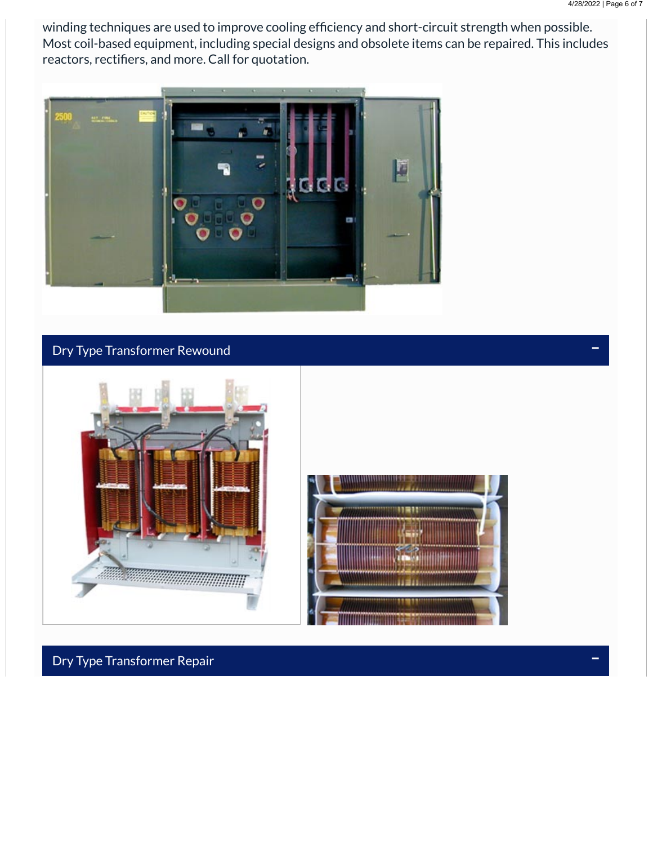winding techniques are used to improve cooling efficiency and short-circuit strength when possible. Most coil-based equipment, including special designs and obsolete items can be repaired. This includes reactors, rectifiers, and more. Call for quotation.



## Dry Type Transformer Rewound



Dry Type Transformer Repair